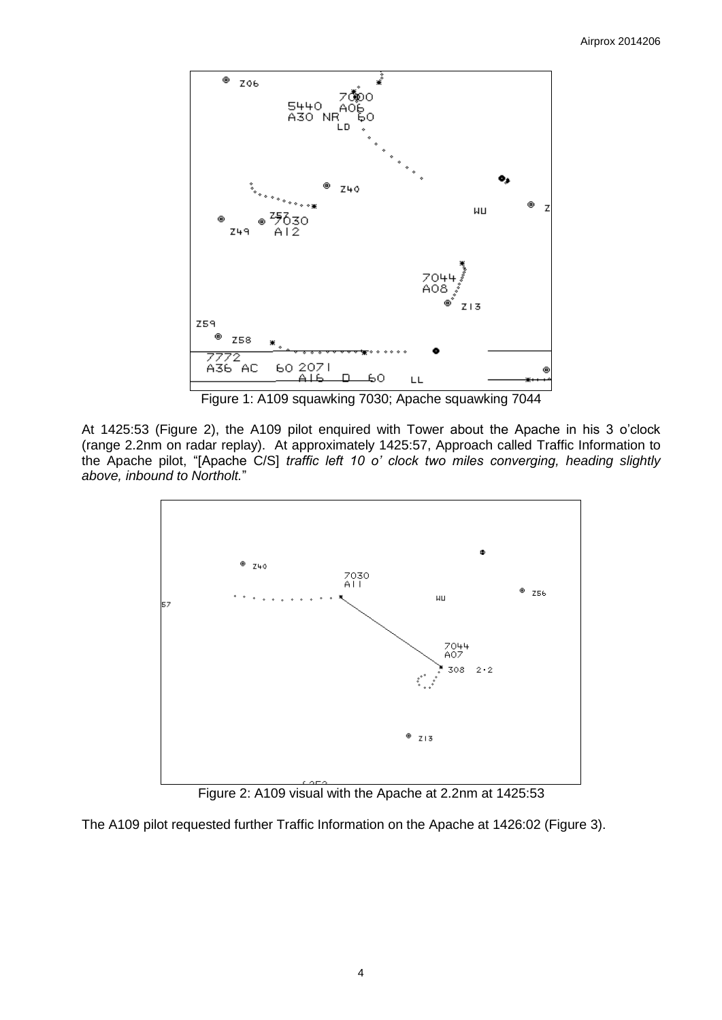

Figure 1: A109 squawking 7030; Apache squawking 7044

At 1425:53 (Figure 2), the A109 pilot enquired with Tower about the Apache in his 3 o'clock (range 2.2nm on radar replay). At approximately 1425:57, Approach called Traffic Information to the Apache pilot, "[Apache C/S] *traffic left 10 o' clock two miles converging, heading slightly above, inbound to Northolt.*"



Figure 2: A109 visual with the Apache at 2.2nm at 1425:53

The A109 pilot requested further Traffic Information on the Apache at 1426:02 (Figure 3).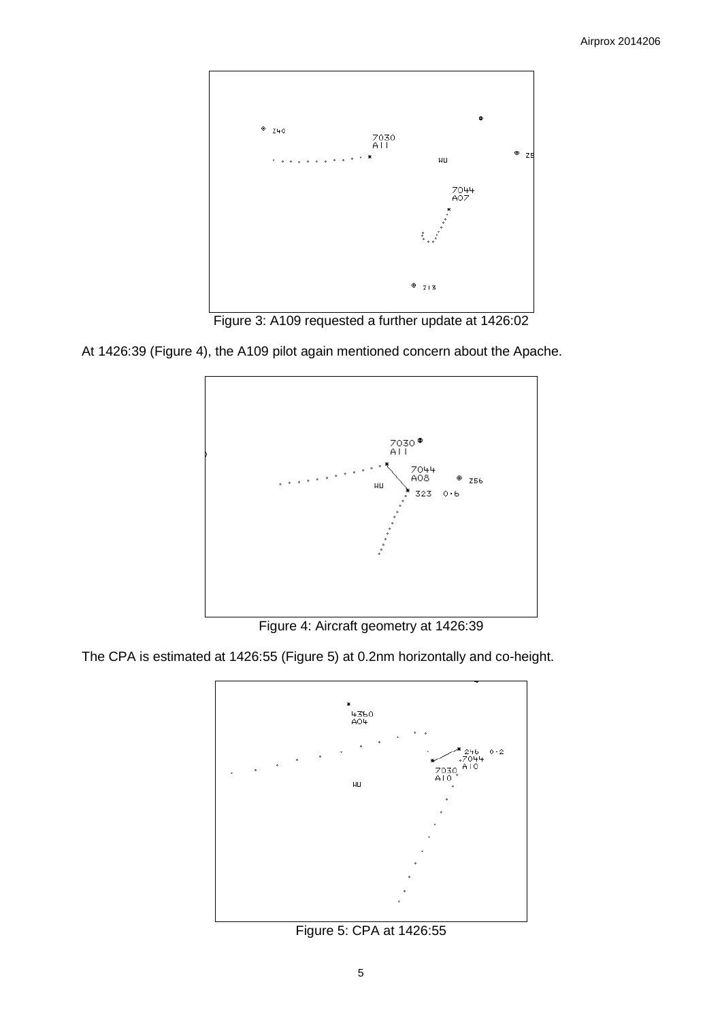

Figure 3: A109 requested a further update at 1426:02

At 1426:39 (Figure 4), the A109 pilot again mentioned concern about the Apache.



Figure 4: Aircraft geometry at 1426:39

The CPA is estimated at 1426:55 (Figure 5) at 0.2nm horizontally and co-height.



Figure 5: CPA at 1426:55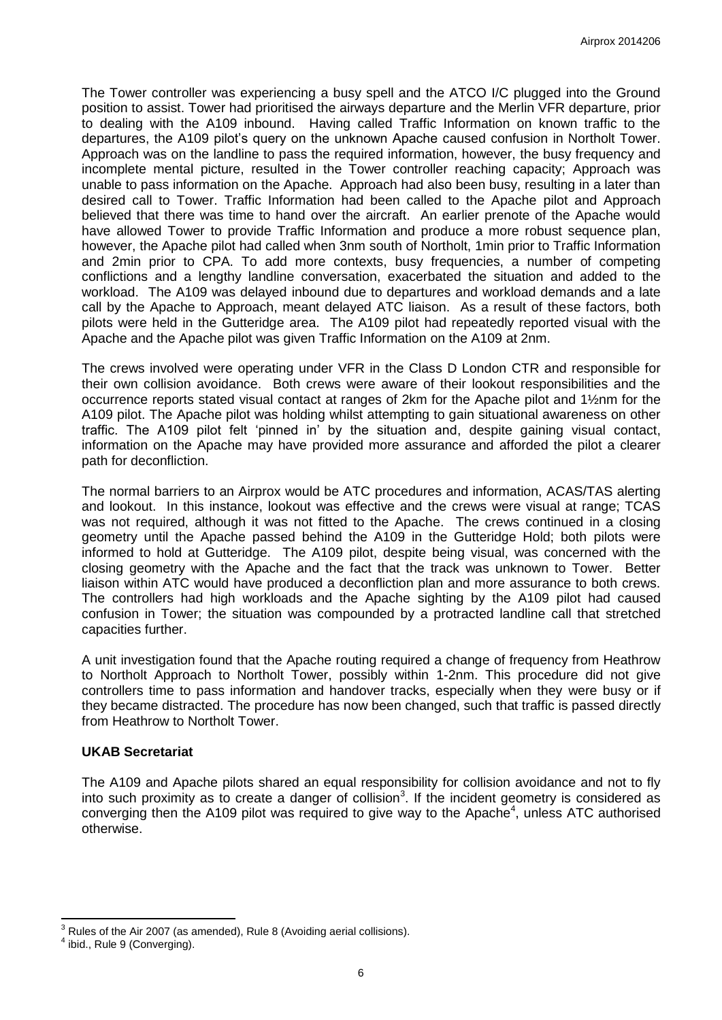The Tower controller was experiencing a busy spell and the ATCO I/C plugged into the Ground position to assist. Tower had prioritised the airways departure and the Merlin VFR departure, prior to dealing with the A109 inbound. Having called Traffic Information on known traffic to the departures, the A109 pilot's query on the unknown Apache caused confusion in Northolt Tower. Approach was on the landline to pass the required information, however, the busy frequency and incomplete mental picture, resulted in the Tower controller reaching capacity; Approach was unable to pass information on the Apache. Approach had also been busy, resulting in a later than desired call to Tower. Traffic Information had been called to the Apache pilot and Approach believed that there was time to hand over the aircraft. An earlier prenote of the Apache would have allowed Tower to provide Traffic Information and produce a more robust sequence plan, however, the Apache pilot had called when 3nm south of Northolt, 1min prior to Traffic Information and 2min prior to CPA. To add more contexts, busy frequencies, a number of competing conflictions and a lengthy landline conversation, exacerbated the situation and added to the workload. The A109 was delayed inbound due to departures and workload demands and a late call by the Apache to Approach, meant delayed ATC liaison. As a result of these factors, both pilots were held in the Gutteridge area. The A109 pilot had repeatedly reported visual with the Apache and the Apache pilot was given Traffic Information on the A109 at 2nm.

The crews involved were operating under VFR in the Class D London CTR and responsible for their own collision avoidance. Both crews were aware of their lookout responsibilities and the occurrence reports stated visual contact at ranges of 2km for the Apache pilot and 1½nm for the A109 pilot. The Apache pilot was holding whilst attempting to gain situational awareness on other traffic. The A109 pilot felt 'pinned in' by the situation and, despite gaining visual contact, information on the Apache may have provided more assurance and afforded the pilot a clearer path for deconfliction.

The normal barriers to an Airprox would be ATC procedures and information, ACAS/TAS alerting and lookout. In this instance, lookout was effective and the crews were visual at range; TCAS was not required, although it was not fitted to the Apache. The crews continued in a closing geometry until the Apache passed behind the A109 in the Gutteridge Hold; both pilots were informed to hold at Gutteridge. The A109 pilot, despite being visual, was concerned with the closing geometry with the Apache and the fact that the track was unknown to Tower. Better liaison within ATC would have produced a deconfliction plan and more assurance to both crews. The controllers had high workloads and the Apache sighting by the A109 pilot had caused confusion in Tower; the situation was compounded by a protracted landline call that stretched capacities further.

A unit investigation found that the Apache routing required a change of frequency from Heathrow to Northolt Approach to Northolt Tower, possibly within 1-2nm. This procedure did not give controllers time to pass information and handover tracks, especially when they were busy or if they became distracted. The procedure has now been changed, such that traffic is passed directly from Heathrow to Northolt Tower.

# **UKAB Secretariat**

The A109 and Apache pilots shared an equal responsibility for collision avoidance and not to fly into such proximity as to create a danger of collision<sup>3</sup>. If the incident geometry is considered as converging then the A109 pilot was required to give way to the Apache<sup>4</sup>, unless ATC authorised otherwise.

 $\overline{\phantom{a}}$  $3$  Rules of the Air 2007 (as amended), Rule 8 (Avoiding aerial collisions).

<sup>&</sup>lt;sup>4</sup> ibid., Rule 9 (Converging).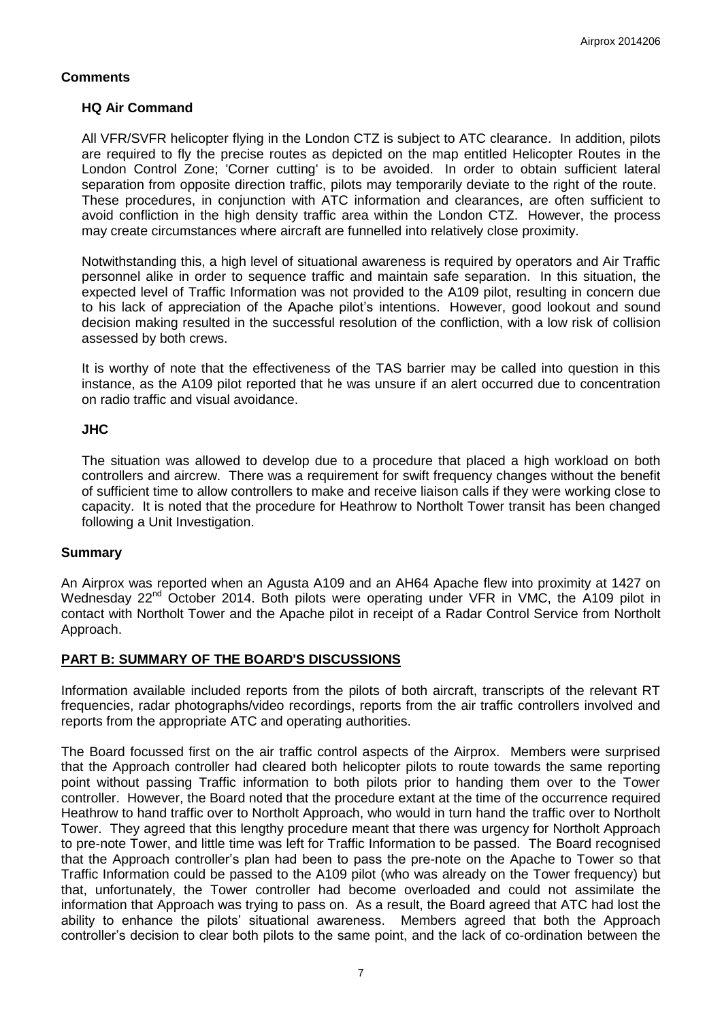# **Comments**

### **HQ Air Command**

All VFR/SVFR helicopter flying in the London CTZ is subject to ATC clearance. In addition, pilots are required to fly the precise routes as depicted on the map entitled Helicopter Routes in the London Control Zone; 'Corner cutting' is to be avoided. In order to obtain sufficient lateral separation from opposite direction traffic, pilots may temporarily deviate to the right of the route. These procedures, in conjunction with ATC information and clearances, are often sufficient to avoid confliction in the high density traffic area within the London CTZ. However, the process may create circumstances where aircraft are funnelled into relatively close proximity.

Notwithstanding this, a high level of situational awareness is required by operators and Air Traffic personnel alike in order to sequence traffic and maintain safe separation. In this situation, the expected level of Traffic Information was not provided to the A109 pilot, resulting in concern due to his lack of appreciation of the Apache pilot's intentions. However, good lookout and sound decision making resulted in the successful resolution of the confliction, with a low risk of collision assessed by both crews.

It is worthy of note that the effectiveness of the TAS barrier may be called into question in this instance, as the A109 pilot reported that he was unsure if an alert occurred due to concentration on radio traffic and visual avoidance.

### **JHC**

The situation was allowed to develop due to a procedure that placed a high workload on both controllers and aircrew. There was a requirement for swift frequency changes without the benefit of sufficient time to allow controllers to make and receive liaison calls if they were working close to capacity. It is noted that the procedure for Heathrow to Northolt Tower transit has been changed following a Unit Investigation.

#### **Summary**

An Airprox was reported when an Agusta A109 and an AH64 Apache flew into proximity at 1427 on Wednesday 22<sup>nd</sup> October 2014. Both pilots were operating under VFR in VMC, the A109 pilot in contact with Northolt Tower and the Apache pilot in receipt of a Radar Control Service from Northolt Approach.

# **PART B: SUMMARY OF THE BOARD'S DISCUSSIONS**

Information available included reports from the pilots of both aircraft, transcripts of the relevant RT frequencies, radar photographs/video recordings, reports from the air traffic controllers involved and reports from the appropriate ATC and operating authorities.

The Board focussed first on the air traffic control aspects of the Airprox. Members were surprised that the Approach controller had cleared both helicopter pilots to route towards the same reporting point without passing Traffic information to both pilots prior to handing them over to the Tower controller. However, the Board noted that the procedure extant at the time of the occurrence required Heathrow to hand traffic over to Northolt Approach, who would in turn hand the traffic over to Northolt Tower. They agreed that this lengthy procedure meant that there was urgency for Northolt Approach to pre-note Tower, and little time was left for Traffic Information to be passed. The Board recognised that the Approach controller's plan had been to pass the pre-note on the Apache to Tower so that Traffic Information could be passed to the A109 pilot (who was already on the Tower frequency) but that, unfortunately, the Tower controller had become overloaded and could not assimilate the information that Approach was trying to pass on. As a result, the Board agreed that ATC had lost the ability to enhance the pilots' situational awareness. Members agreed that both the Approach controller's decision to clear both pilots to the same point, and the lack of co-ordination between the